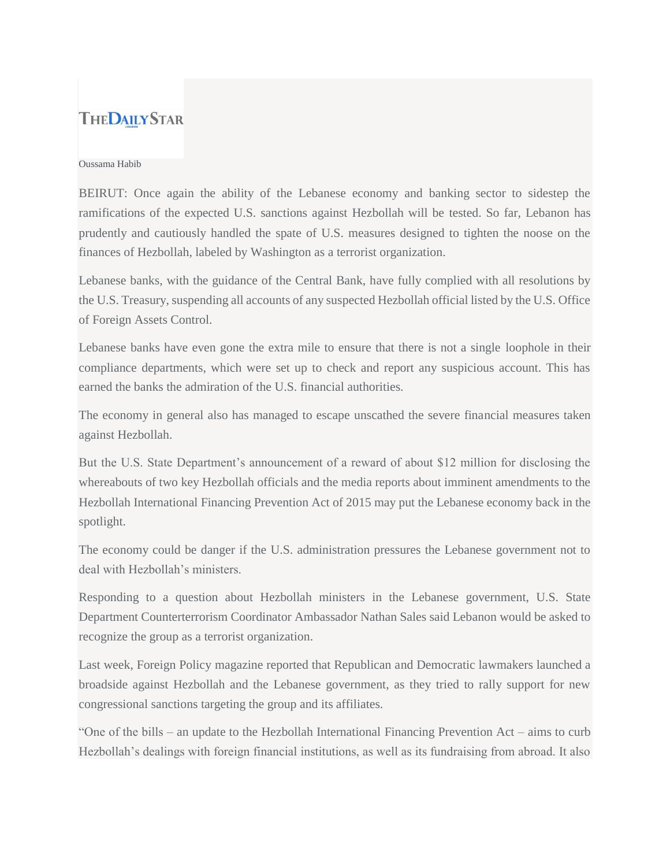## **THEDAILYSTAR**

## Oussama Habib

BEIRUT: Once again the ability of the Lebanese economy and banking sector to sidestep the ramifications of the expected U.S. sanctions against Hezbollah will be tested. So far, Lebanon has prudently and cautiously handled the spate of U.S. measures designed to tighten the noose on the finances of Hezbollah, labeled by Washington as a terrorist organization.

Lebanese banks, with the guidance of the Central Bank, have fully complied with all resolutions by the U.S. Treasury, suspending all accounts of any suspected Hezbollah official listed by the U.S. Office of Foreign Assets Control.

Lebanese banks have even gone the extra mile to ensure that there is not a single loophole in their compliance departments, which were set up to check and report any suspicious account. This has earned the banks the admiration of the U.S. financial authorities.

The economy in general also has managed to escape unscathed the severe financial measures taken against Hezbollah.

But the U.S. State Department's announcement of a reward of about \$12 million for disclosing the whereabouts of two key Hezbollah officials and the media reports about imminent amendments to the Hezbollah International Financing Prevention Act of 2015 may put the Lebanese economy back in the spotlight.

The economy could be danger if the U.S. administration pressures the Lebanese government not to deal with Hezbollah's ministers.

Responding to a question about Hezbollah ministers in the Lebanese government, U.S. State Department Counterterrorism Coordinator Ambassador Nathan Sales said Lebanon would be asked to recognize the group as a terrorist organization.

Last week, Foreign Policy magazine reported that Republican and Democratic lawmakers launched a broadside against Hezbollah and the Lebanese government, as they tried to rally support for new congressional sanctions targeting the group and its affiliates.

"One of the bills – an update to the Hezbollah International Financing Prevention Act – aims to curb Hezbollah's dealings with foreign financial institutions, as well as its fundraising from abroad. It also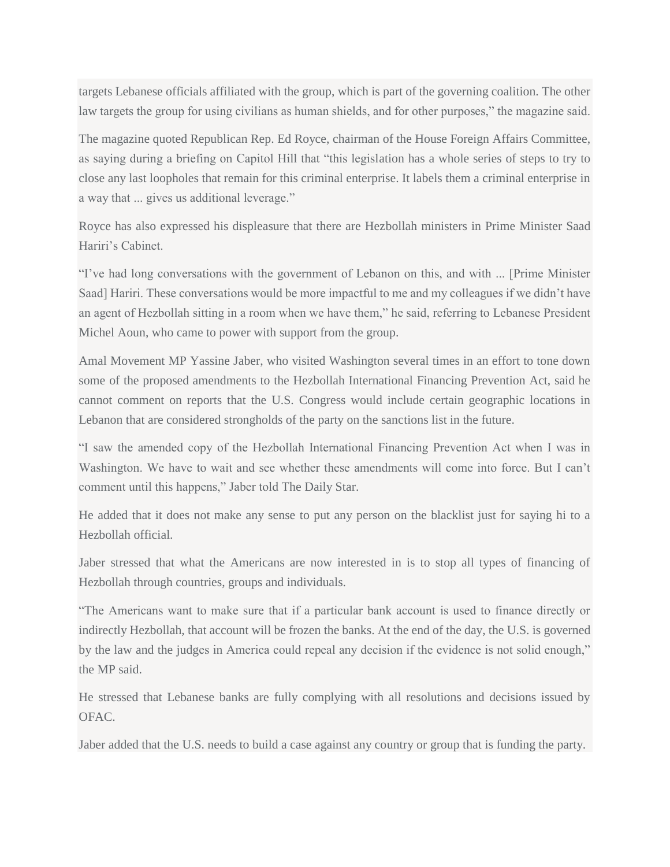targets Lebanese officials affiliated with the group, which is part of the governing coalition. The other law targets the group for using civilians as human shields, and for other purposes," the magazine said.

The magazine quoted Republican Rep. Ed Royce, chairman of the House Foreign Affairs Committee, as saying during a briefing on Capitol Hill that "this legislation has a whole series of steps to try to close any last loopholes that remain for this criminal enterprise. It labels them a criminal enterprise in a way that ... gives us additional leverage."

Royce has also expressed his displeasure that there are Hezbollah ministers in Prime Minister Saad Hariri's Cabinet.

"I've had long conversations with the government of Lebanon on this, and with ... [Prime Minister Saad] Hariri. These conversations would be more impactful to me and my colleagues if we didn't have an agent of Hezbollah sitting in a room when we have them," he said, referring to Lebanese President Michel Aoun, who came to power with support from the group.

Amal Movement MP Yassine Jaber, who visited Washington several times in an effort to tone down some of the proposed amendments to the Hezbollah International Financing Prevention Act, said he cannot comment on reports that the U.S. Congress would include certain geographic locations in Lebanon that are considered strongholds of the party on the sanctions list in the future.

"I saw the amended copy of the Hezbollah International Financing Prevention Act when I was in Washington. We have to wait and see whether these amendments will come into force. But I can't comment until this happens," Jaber told The Daily Star.

He added that it does not make any sense to put any person on the blacklist just for saying hi to a Hezbollah official.

Jaber stressed that what the Americans are now interested in is to stop all types of financing of Hezbollah through countries, groups and individuals.

"The Americans want to make sure that if a particular bank account is used to finance directly or indirectly Hezbollah, that account will be frozen the banks. At the end of the day, the U.S. is governed by the law and the judges in America could repeal any decision if the evidence is not solid enough," the MP said.

He stressed that Lebanese banks are fully complying with all resolutions and decisions issued by OFAC.

Jaber added that the U.S. needs to build a case against any country or group that is funding the party.